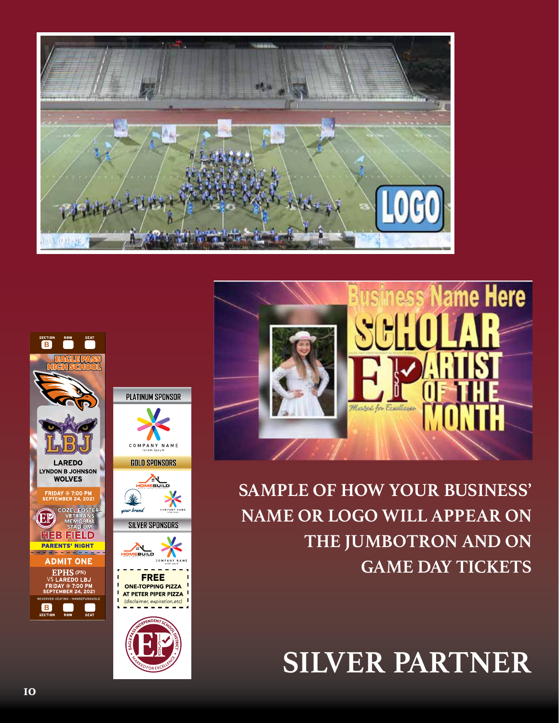



**SAMPLE OF HOW YOUR BUSINESS' NAME OR LOGO WILL APPEAR ON THE JUMBOTRON AND ON GAME DAY TICKETS**

**SILVER PARTNER**





**LAREDO** 

**WOLVES** 

FRIDAY @ 7<mark>:00 P</mark>I<br>EPTEMBER 24, 20

**STADIUM** 

**B B B**

**B B B**